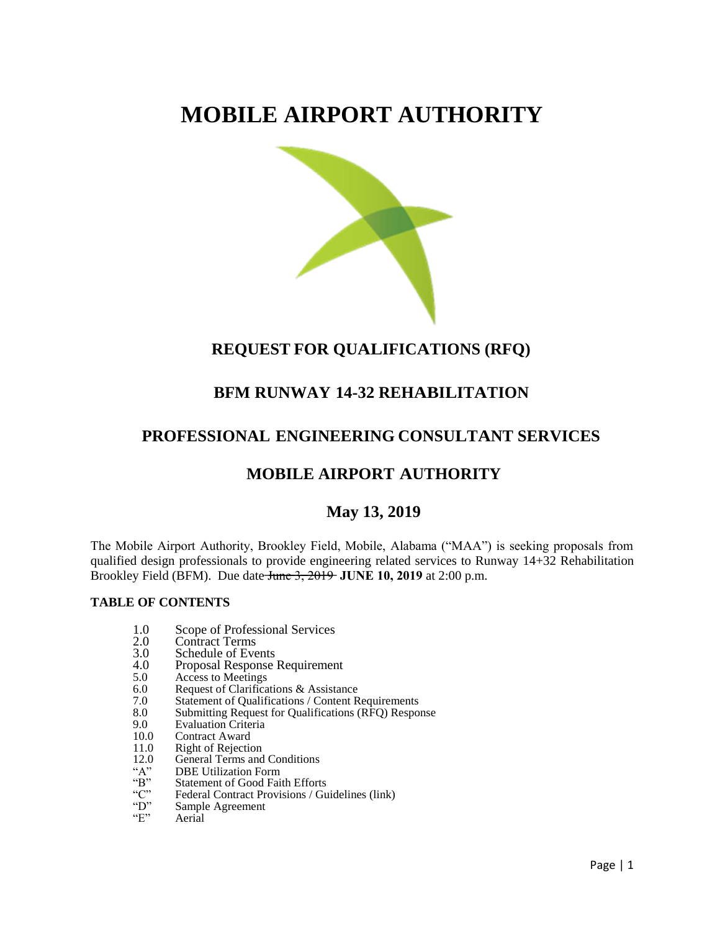# **MOBILE AIRPORT AUTHORITY**



### **REQUEST FOR QUALIFICATIONS (RFQ)**

# **BFM RUNWAY 14-32 REHABILITATION**

### **PROFESSIONAL ENGINEERING CONSULTANT SERVICES**

## **MOBILE AIRPORT AUTHORITY**

### **May 13, 2019**

The Mobile Airport Authority, Brookley Field, Mobile, Alabama ("MAA") is seeking proposals from qualified design professionals to provide engineering related services to Runway 14+32 Rehabilitation Brookley Field (BFM). Due date **June 3, 2019 JUNE 10, 2019** at 2:00 p.m.

### **TABLE OF CONTENTS**

- 1.0 Scope of Professional Services<br>2.0 Contract Terms
- 2.0 Contract Terms<br>3.0 Schedule of Eve
- 3.0 Schedule of Events<br>4.0 Proposal Response
- 4.0 Proposal Response Requirement<br>5.0 Access to Meetings
- 5.0 Access to Meetings<br>6.0 Request of Clarifica
- 6.0 Request of Clarifications & Assistance<br>7.0 Statement of Qualifications / Content R
- Statement of Qualifications / Content Requirements
- 8.0 Submitting Request for Qualifications (RFQ) Response<br>9.0 Evaluation Criteria
- 9.0 Evaluation Criteria<br>10.0 Contract Award
- Contract Award
- 11.0 Right of Rejection<br>12.0 General Terms and
- 12.0 General Terms and Conditions<br>"A" DBE Utilization Form
- "A" DBE Utilization Form<br>"B" Statement of Good Fai
- "B" Statement of Good Faith Efforts<br>"C" Federal Contract Provisions / Gu
- "C" Federal Contract Provisions / Guidelines (link)<br>"D" Sample Agreement
- "D" Sample Agreement<br>"E" Aerial
- Aerial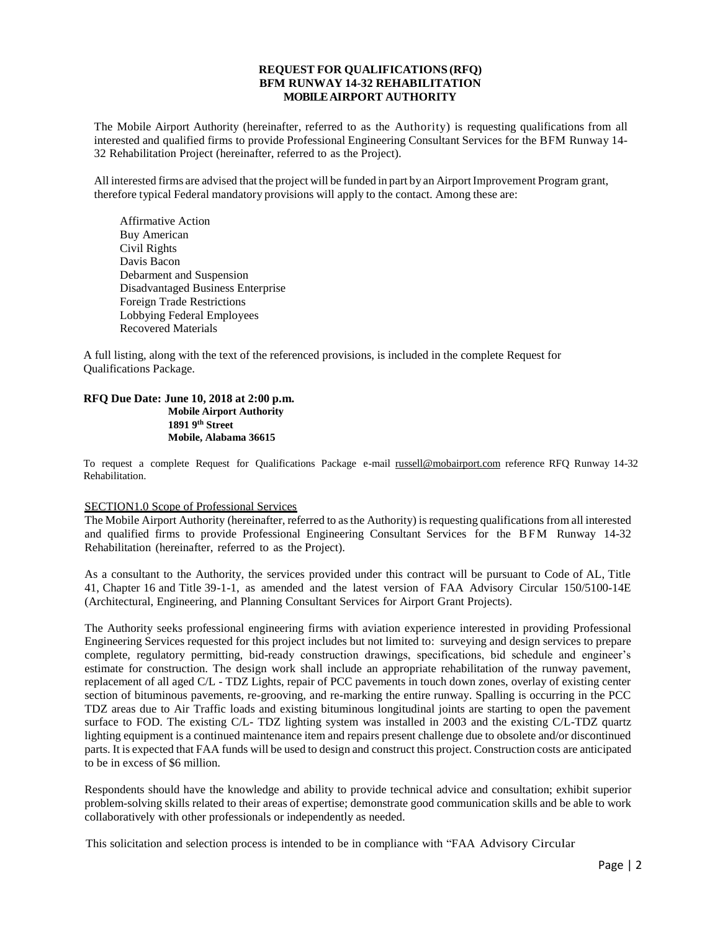#### **REQUEST FOR QUALIFICATIONS (RFQ) BFM RUNWAY 14-32 REHABILITATION MOBILE AIRPORT AUTHORITY**

The Mobile Airport Authority (hereinafter, referred to as the Authority) is requesting qualifications from all interested and qualified firms to provide Professional Engineering Consultant Services for the BFM Runway 14- 32 Rehabilitation Project (hereinafter, referred to as the Project).

All interested firms are advised that the project will be funded in part by an AirportImprovement Program grant, therefore typical Federal mandatory provisions will apply to the contact. Among these are:

Affirmative Action Buy American Civil Rights Davis Bacon Debarment and Suspension Disadvantaged Business Enterprise Foreign Trade Restrictions Lobbying Federal Employees Recovered Materials

A full listing, along with the text of the referenced provisions, is included in the complete Request for Qualifications Package.

#### **RFQ Due Date: June 10, 2018 at 2:00 p.m. Mobile Airport Authority 1891 9th Street Mobile, Alabama 36615**

To request a complete Request for Qualifications Package e-mail [russell@mobairport.com](mailto:russell@mobairport.com) reference RFQ Runway 14-32 Rehabilitation.

#### SECTION1.0 Scope of Professional Services

The Mobile Airport Authority (hereinafter, referred to asthe Authority) isrequesting qualifications from all interested and qualified firms to provide Professional Engineering Consultant Services for the BFM Runway 14-32 Rehabilitation (hereinafter, referred to as the Project).

As a consultant to the Authority, the services provided under this contract will be pursuant to Code of AL, Title 41, Chapter 16 and Title 39-1-1, as amended and the latest version of FAA Advisory Circular 150/5100-14E (Architectural, Engineering, and Planning Consultant Services for Airport Grant Projects).

The Authority seeks professional engineering firms with aviation experience interested in providing Professional Engineering Services requested for this project includes but not limited to: surveying and design services to prepare complete, regulatory permitting, bid-ready construction drawings, specifications, bid schedule and engineer's estimate for construction. The design work shall include an appropriate rehabilitation of the runway pavement, replacement of all aged C/L - TDZ Lights, repair of PCC pavements in touch down zones, overlay of existing center section of bituminous pavements, re-grooving, and re-marking the entire runway. Spalling is occurring in the PCC TDZ areas due to Air Traffic loads and existing bituminous longitudinal joints are starting to open the pavement surface to FOD. The existing C/L- TDZ lighting system was installed in 2003 and the existing C/L-TDZ quartz lighting equipment is a continued maintenance item and repairs present challenge due to obsolete and/or discontinued parts. It is expected that FAA funds will be used to design and construct this project. Construction costs are anticipated to be in excess of \$6 million.

Respondents should have the knowledge and ability to provide technical advice and consultation; exhibit superior problem-solving skills related to their areas of expertise; demonstrate good communication skills and be able to work collaboratively with other professionals or independently as needed.

This solicitation and selection process is intended to be in compliance with "FAA Advisory Circular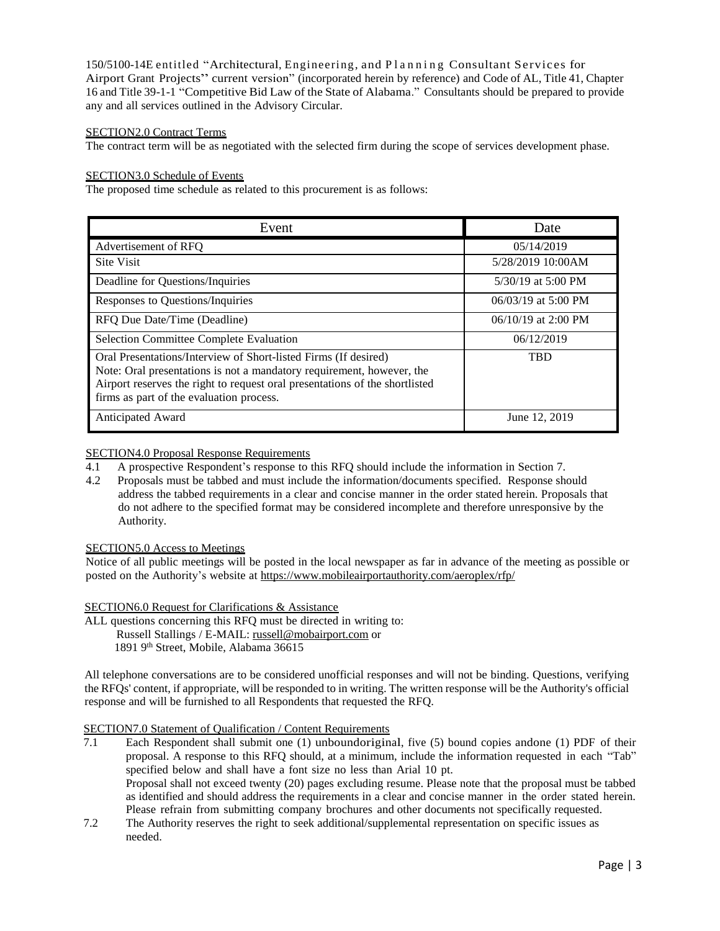150/5100-14E entitled "Architectural, Engineering, and P l a n n i n g Consultant Services for Airport Grant Projects" current version" (incorporated herein by reference) and Code of AL, Title 41, Chapter 16 and Title 39-1-1 "Competitive Bid Law of the State of Alabama." Consultants should be prepared to provide any and all services outlined in the Advisory Circular.

#### SECTION2.0 Contract Terms

The contract term will be as negotiated with the selected firm during the scope of services development phase.

#### SECTION3.0 Schedule of Events

The proposed time schedule as related to this procurement is as follows:

| Event                                                                                                                                                                                                                                                               | Date                |
|---------------------------------------------------------------------------------------------------------------------------------------------------------------------------------------------------------------------------------------------------------------------|---------------------|
| Advertisement of RFQ                                                                                                                                                                                                                                                | 05/14/2019          |
| <b>Site Visit</b>                                                                                                                                                                                                                                                   | 5/28/2019 10:00AM   |
| Deadline for Questions/Inquiries                                                                                                                                                                                                                                    | 5/30/19 at 5:00 PM  |
| Responses to Questions/Inquiries                                                                                                                                                                                                                                    | 06/03/19 at 5:00 PM |
| RFQ Due Date/Time (Deadline)                                                                                                                                                                                                                                        | 06/10/19 at 2:00 PM |
| <b>Selection Committee Complete Evaluation</b>                                                                                                                                                                                                                      | 06/12/2019          |
| Oral Presentations/Interview of Short-listed Firms (If desired)<br>Note: Oral presentations is not a mandatory requirement, however, the<br>Airport reserves the right to request oral presentations of the shortlisted<br>firms as part of the evaluation process. | <b>TBD</b>          |
| Anticipated Award                                                                                                                                                                                                                                                   | June 12, 2019       |

#### SECTION4.0 Proposal Response Requirements

- 4.1 A prospective Respondent's response to this RFQ should include the information in Section 7.
- 4.2 Proposals must be tabbed and must include the information/documents specified. Response should address the tabbed requirements in a clear and concise manner in the order stated herein. Proposals that do not adhere to the specified format may be considered incomplete and therefore unresponsive by the Authority.

#### SECTION5.0 Access to Meetings

Notice of all public meetings will be posted in the local newspaper as far in advance of the meeting as possible or posted on the Authority's website at <https://www.mobileairportauthority.com/aeroplex/rfp/>

#### SECTION6.0 Request for Clarifications & Assistance

ALL questions concerning this RFQ must be directed in writing to: Russell Stallings / E-MAIL: [russell@mobairport.com](mailto:russell@mobairport.com) or 1891 9<sup>th</sup> Street, Mobile, Alabama 36615

All telephone conversations are to be considered unofficial responses and will not be binding. Questions, verifying the RFQs' content, if appropriate, will be responded to in writing. The written response will be the Authority's official response and will be furnished to all Respondents that requested the RFQ.

#### SECTION7.0 Statement of Qualification / Content Requirements

- 7.1 Each Respondent shall submit one (1) unboundoriginal, five (5) bound copies andone (1) PDF of their proposal. A response to this RFQ should, at a minimum, include the information requested in each "Tab" specified below and shall have a font size no less than Arial 10 pt. Proposal shall not exceed twenty (20) pages excluding resume. Please note that the proposal must be tabbed as identified and should address the requirements in a clear and concise manner in the order stated herein. Please refrain from submitting company brochures and other documents not specifically requested.
- 7.2 The Authority reserves the right to seek additional/supplemental representation on specific issues as needed.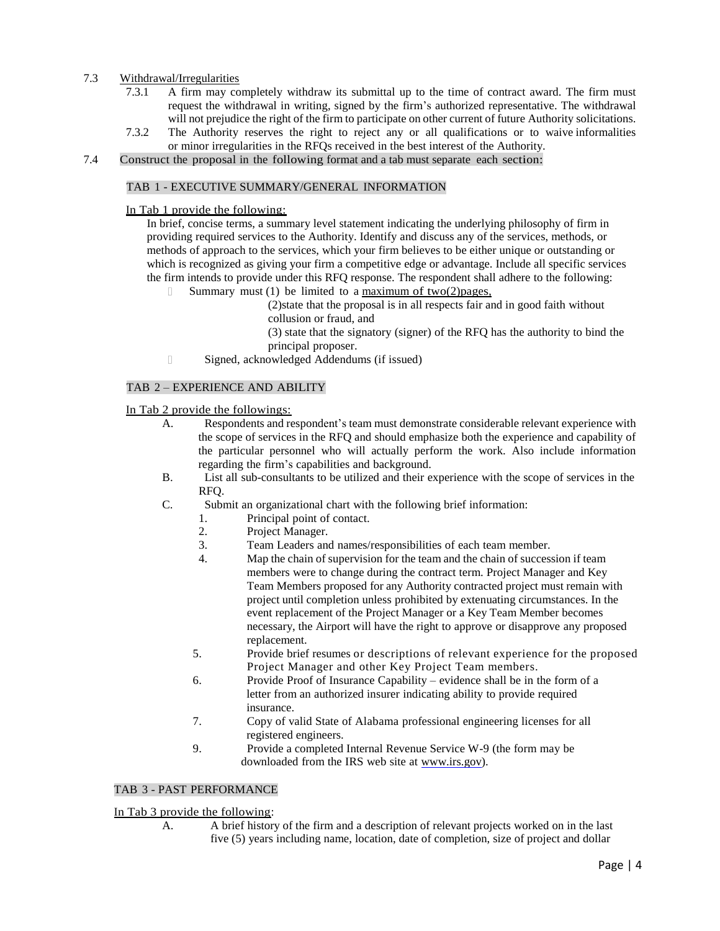#### 7.3 Withdrawal/Irregularities

- 7.3.1 A firm may completely withdraw its submittal up to the time of contract award. The firm must request the withdrawal in writing, signed by the firm's authorized representative. The withdrawal will not prejudice the right of the firm to participate on other current of future Authority solicitations.
- 7.3.2 The Authority reserves the right to reject any or all qualifications or to waive informalities or minor irregularities in the RFQs received in the best interest of the Authority.
- 7.4 Construct the proposal in the following format and a tab must separate each section:

#### TAB 1 - EXECUTIVE SUMMARY/GENERAL INFORMATION

#### In Tab 1 provide the following:

In brief, concise terms, a summary level statement indicating the underlying philosophy of firm in providing required services to the Authority. Identify and discuss any of the services, methods, or methods of approach to the services, which your firm believes to be either unique or outstanding or which is recognized as giving your firm a competitive edge or advantage. Include all specific services the firm intends to provide under this RFQ response. The respondent shall adhere to the following:

Summary must (1) be limited to a maximum of  $two(2)$  pages,

(2)state that the proposal is in all respects fair and in good faith without collusion or fraud, and

(3) state that the signatory (signer) of the RFQ has the authority to bind the principal proposer.

 $\begin{bmatrix} 1 \\ 2 \end{bmatrix}$ Signed, acknowledged Addendums (if issued)

#### TAB 2 – EXPERIENCE AND ABILITY

#### In Tab 2 provide the followings:

- A. Respondents and respondent's team must demonstrate considerable relevant experience with the scope of services in the RFQ and should emphasize both the experience and capability of the particular personnel who will actually perform the work. Also include information regarding the firm's capabilities and background.
- B. List all sub-consultants to be utilized and their experience with the scope of services in the RFQ.
- C. Submit an organizational chart with the following brief information:
	- 1. Principal point of contact.
	- 2. Project Manager.
	- 3. Team Leaders and names/responsibilities of each team member.
	- 4. Map the chain of supervision for the team and the chain of succession if team members were to change during the contract term. Project Manager and Key Team Members proposed for any Authority contracted project must remain with project until completion unless prohibited by extenuating circumstances. In the event replacement of the Project Manager or a Key Team Member becomes necessary, the Airport will have the right to approve or disapprove any proposed replacement.
	- 5. Provide brief resumes or descriptions of relevant experience for the proposed Project Manager and other Key Project Team members.
	- 6. Provide Proof of Insurance Capability evidence shall be in the form of a letter from an authorized insurer indicating ability to provide required insurance.
	- 7. Copy of valid State of Alabama professional engineering licenses for all registered engineers.
	- 9. Provide a completed Internal Revenue Service W-9 (the form may be downloaded from the IRS web site at www.irs.gov).

#### TAB 3 - PAST PERFORMANCE

#### In Tab 3 provide the following:

A. A brief history of the firm and a description of relevant projects worked on in the last five (5) years including name, location, date of completion, size of project and dollar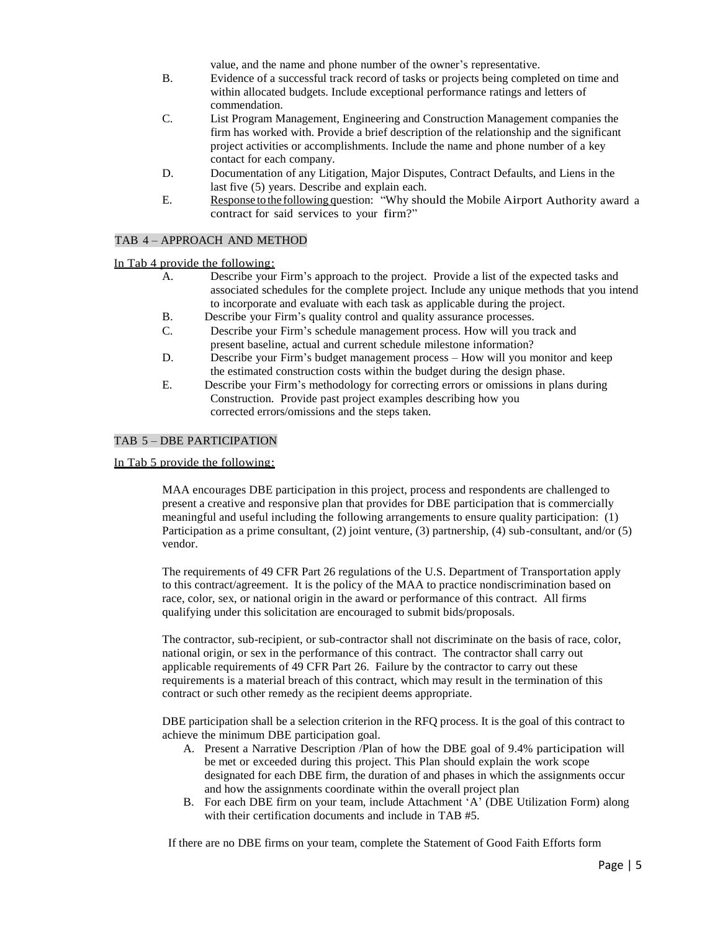value, and the name and phone number of the owner's representative.

- B. Evidence of a successful track record of tasks or projects being completed on time and within allocated budgets. Include exceptional performance ratings and letters of commendation.
- C. List Program Management, Engineering and Construction Management companies the firm has worked with. Provide a brief description of the relationship and the significant project activities or accomplishments. Include the name and phone number of a key contact for each company.
- D. Documentation of any Litigation, Major Disputes, Contract Defaults, and Liens in the last five (5) years. Describe and explain each.
- E. Response to the following question: "Why should the Mobile Airport Authority award a contract for said services to your firm?"

#### TAB 4 – APPROACH AND METHOD

#### In Tab 4 provide the following:

- A. Describe your Firm's approach to the project. Provide a list of the expected tasks and associated schedules for the complete project. Include any unique methods that you intend to incorporate and evaluate with each task as applicable during the project.
- B. Describe your Firm's quality control and quality assurance processes.
- C. Describe your Firm's schedule management process. How will you track and present baseline, actual and current schedule milestone information?
- D. Describe your Firm's budget management process How will you monitor and keep the estimated construction costs within the budget during the design phase.
- E. Describe your Firm's methodology for correcting errors or omissions in plans during Construction. Provide past project examples describing how you corrected errors/omissions and the steps taken.

#### TAB 5 – DBE PARTICIPATION

#### In Tab 5 provide the following:

MAA encourages DBE participation in this project, process and respondents are challenged to present a creative and responsive plan that provides for DBE participation that is commercially meaningful and useful including the following arrangements to ensure quality participation: (1) Participation as a prime consultant, (2) joint venture, (3) partnership, (4) sub-consultant, and/or (5) vendor.

The requirements of 49 CFR Part 26 regulations of the U.S. Department of Transportation apply to this contract/agreement. It is the policy of the MAA to practice nondiscrimination based on race, color, sex, or national origin in the award or performance of this contract. All firms qualifying under this solicitation are encouraged to submit bids/proposals.

The contractor, sub-recipient, or sub-contractor shall not discriminate on the basis of race, color, national origin, or sex in the performance of this contract. The contractor shall carry out applicable requirements of 49 CFR Part 26. Failure by the contractor to carry out these requirements is a material breach of this contract, which may result in the termination of this contract or such other remedy as the recipient deems appropriate.

DBE participation shall be a selection criterion in the RFQ process. It is the goal of this contract to achieve the minimum DBE participation goal.

- A. Present a Narrative Description /Plan of how the DBE goal of 9.4% participation will be met or exceeded during this project. This Plan should explain the work scope designated for each DBE firm, the duration of and phases in which the assignments occur and how the assignments coordinate within the overall project plan
- B. For each DBE firm on your team, include Attachment 'A' (DBE Utilization Form) along with their certification documents and include in TAB #5.

If there are no DBE firms on your team, complete the Statement of Good Faith Efforts form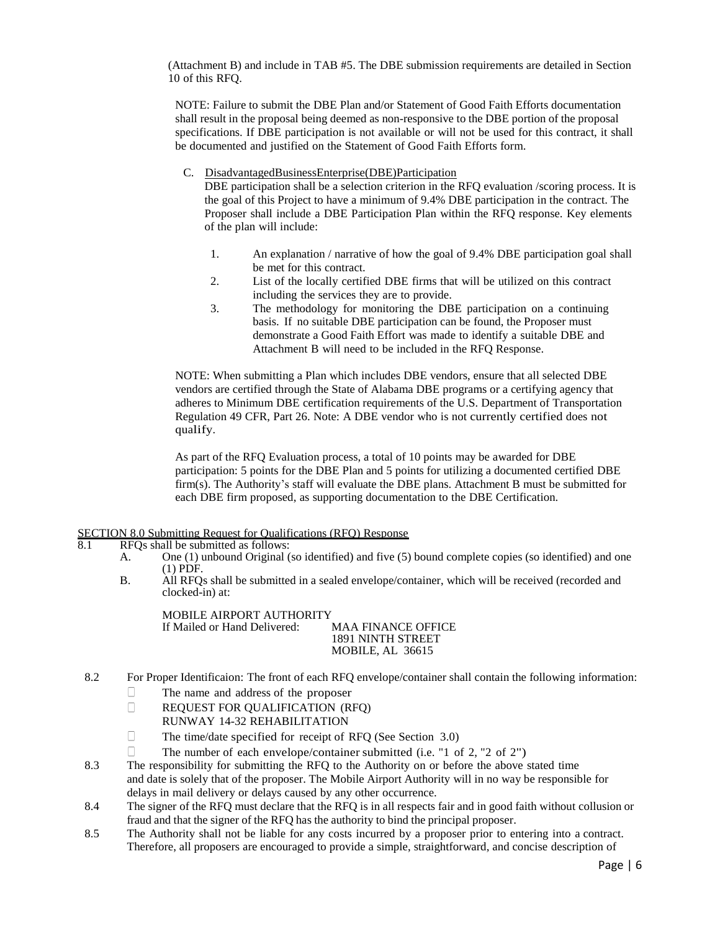(Attachment B) and include in TAB #5. The DBE submission requirements are detailed in Section 10 of this RFQ.

NOTE: Failure to submit the DBE Plan and/or Statement of Good Faith Efforts documentation shall result in the proposal being deemed as non-responsive to the DBE portion of the proposal specifications. If DBE participation is not available or will not be used for this contract, it shall be documented and justified on the Statement of Good Faith Efforts form.

C. DisadvantagedBusinessEnterprise(DBE)Participation

DBE participation shall be a selection criterion in the RFQ evaluation /scoring process. It is the goal of this Project to have a minimum of 9.4% DBE participation in the contract. The Proposer shall include a DBE Participation Plan within the RFQ response. Key elements of the plan will include:

- 1. An explanation / narrative of how the goal of 9.4% DBE participation goal shall be met for this contract.
- 2. List of the locally certified DBE firms that will be utilized on this contract including the services they are to provide.
- 3. The methodology for monitoring the DBE participation on a continuing basis. If no suitable DBE participation can be found, the Proposer must demonstrate a Good Faith Effort was made to identify a suitable DBE and Attachment B will need to be included in the RFQ Response.

NOTE: When submitting a Plan which includes DBE vendors, ensure that all selected DBE vendors are certified through the State of Alabama DBE programs or a certifying agency that adheres to Minimum DBE certification requirements of the U.S. Department of Transportation Regulation 49 CFR, Part 26. Note: A DBE vendor who is not currently certified does not qualify.

As part of the RFQ Evaluation process, a total of 10 points may be awarded for DBE participation: 5 points for the DBE Plan and 5 points for utilizing a documented certified DBE firm(s). The Authority's staff will evaluate the DBE plans. Attachment B must be submitted for each DBE firm proposed, as supporting documentation to the DBE Certification.

# SECTION 8.0 Submitting Request for Qualifications (RFQ) Response<br>8.1 RFOs shall be submitted as follows:

RFOs shall be submitted as follows:

- A. One (1) unbound Original (so identified) and five (5) bound complete copies (so identified) and one (1) PDF.
- B. All RFQs shall be submitted in a sealed envelope/container, which will be received (recorded and clocked-in) at:

MOBILE AIRPORT AUTHORITY<br>If Mailed or Hand Delivered: MAA FINANCE OFFICE If Mailed or Hand Delivered:

1891 NINTH STREET MOBILE, AL 36615

- 8.2 For Proper Identificaion: The front of each RFQ envelope/container shall contain the following information:  $\Box$ 
	- The name and address of the proposer
	- $\Box$ REQUEST FOR QUALIFICATION (RFQ) RUNWAY 14-32 REHABILITATION
	- $\Box$ The time/date specified for receipt of RFQ (See Section 3.0)
	- $\Box$ The number of each envelope/container submitted (i.e. "1 of 2, "2 of 2")
- 8.3 The responsibility for submitting the RFQ to the Authority on or before the above stated time and date is solely that of the proposer. The Mobile Airport Authority will in no way be responsible for delays in mail delivery or delays caused by any other occurrence.
- 8.4 The signer of the RFQ must declare that the RFQ is in all respects fair and in good faith without collusion or fraud and that the signer of the RFQ has the authority to bind the principal proposer.
- 8.5 The Authority shall not be liable for any costs incurred by a proposer prior to entering into a contract. Therefore, all proposers are encouraged to provide a simple, straightforward, and concise description of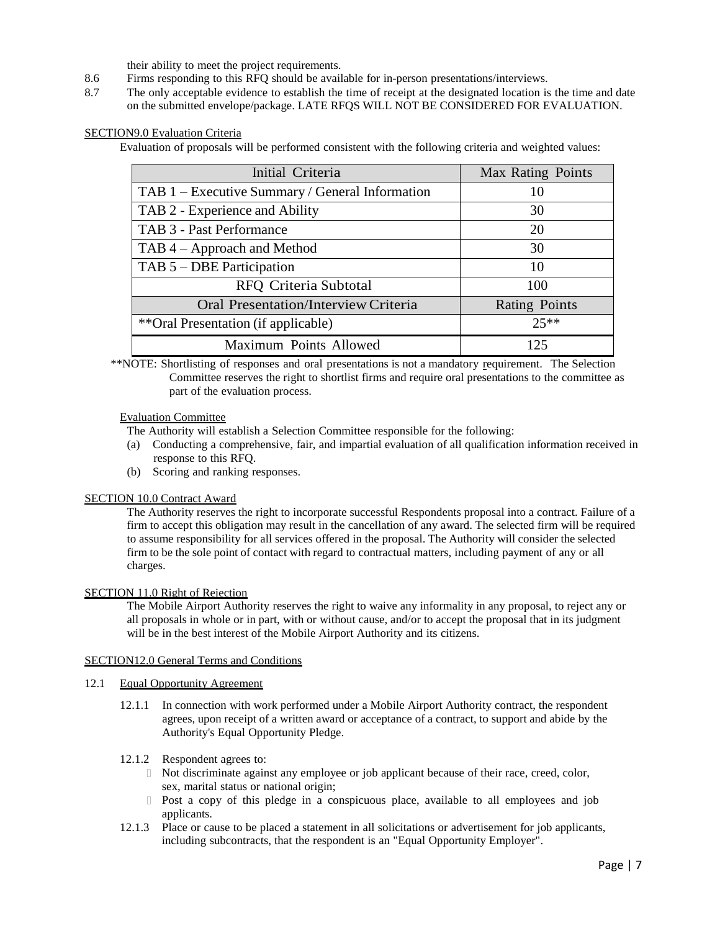their ability to meet the project requirements.

- 8.6 Firms responding to this RFQ should be available for in-person presentations/interviews.
- 8.7 The only acceptable evidence to establish the time of receipt at the designated location is the time and date on the submitted envelope/package. LATE RFQS WILL NOT BE CONSIDERED FOR EVALUATION.

#### SECTION9.0 Evaluation Criteria

Evaluation of proposals will be performed consistent with the following criteria and weighted values:

| Initial Criteria                                | Max Rating Points    |
|-------------------------------------------------|----------------------|
| TAB 1 – Executive Summary / General Information | 10                   |
| TAB 2 - Experience and Ability                  | 30                   |
| TAB 3 - Past Performance                        | 20                   |
| TAB 4 – Approach and Method                     | 30                   |
| TAB 5 – DBE Participation                       | 10                   |
| RFQ Criteria Subtotal                           | 100                  |
| Oral Presentation/Interview Criteria            | <b>Rating Points</b> |
| **Oral Presentation (if applicable)             | $25**$               |
| Maximum Points Allowed                          | 125                  |

\*\*NOTE: Shortlisting of responses and oral presentations is not a mandatory requirement. The Selection Committee reserves the right to shortlist firms and require oral presentations to the committee as part of the evaluation process.

#### Evaluation Committee

The Authority will establish a Selection Committee responsible for the following:

- (a) Conducting a comprehensive, fair, and impartial evaluation of all qualification information received in response to this RFQ.
- (b) Scoring and ranking responses.

#### SECTION 10.0 Contract Award

The Authority reserves the right to incorporate successful Respondents proposal into a contract. Failure of a firm to accept this obligation may result in the cancellation of any award. The selected firm will be required to assume responsibility for all services offered in the proposal. The Authority will consider the selected firm to be the sole point of contact with regard to contractual matters, including payment of any or all charges.

#### SECTION 11.0 Right of Rejection

The Mobile Airport Authority reserves the right to waive any informality in any proposal, to reject any or all proposals in whole or in part, with or without cause, and/or to accept the proposal that in its judgment will be in the best interest of the Mobile Airport Authority and its citizens.

#### SECTION12.0 General Terms and Conditions

#### 12.1 Equal Opportunity Agreement

12.1.1 In connection with work performed under a Mobile Airport Authority contract, the respondent agrees, upon receipt of a written award or acceptance of a contract, to support and abide by the Authority's Equal Opportunity Pledge.

#### 12.1.2 Respondent agrees to:

- Not discriminate against any employee or job applicant because of their race, creed, color, sex, marital status or national origin;
- Post a copy of this pledge in a conspicuous place, available to all employees and job applicants.
- 12.1.3 Place or cause to be placed a statement in all solicitations or advertisement for job applicants, including subcontracts, that the respondent is an "Equal Opportunity Employer".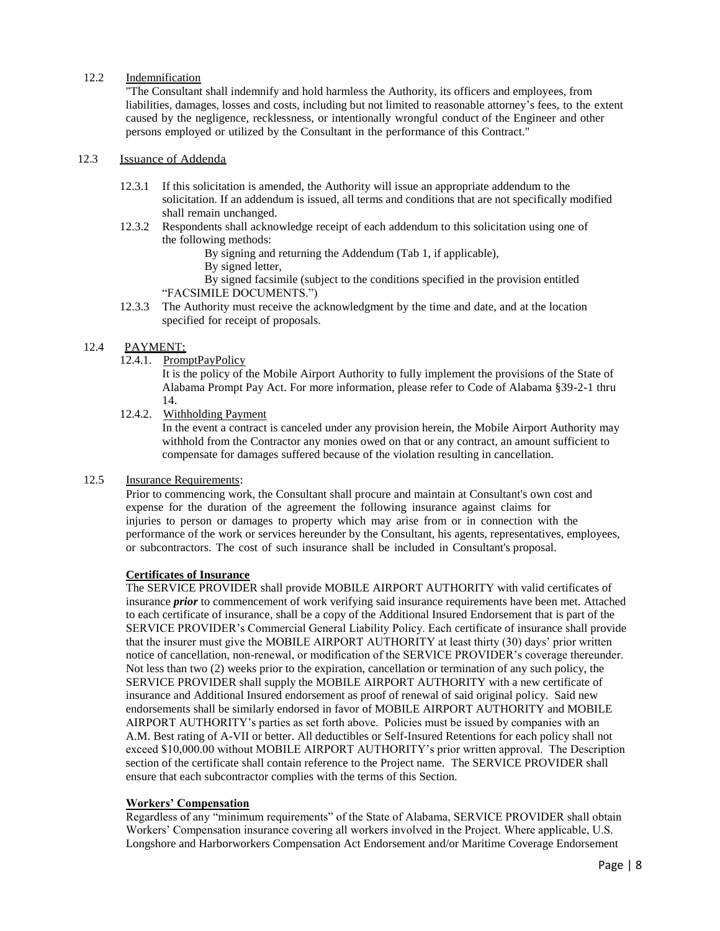#### 12.2 Indemnification

"The Consultant shall indemnify and hold harmless the Authority, its officers and employees, from liabilities, damages, losses and costs, including but not limited to reasonable attorney's fees, to the extent caused by the negligence, recklessness, or intentionally wrongful conduct of the Engineer and other persons employed or utilized by the Consultant in the performance of this Contract."

#### 12.3 Issuance of Addenda

- 12.3.1 If this solicitation is amended, the Authority will issue an appropriate addendum to the solicitation. If an addendum is issued, all terms and conditions that are not specifically modified shall remain unchanged.
- 12.3.2 Respondents shall acknowledge receipt of each addendum to this solicitation using one of the following methods:
	- By signing and returning the Addendum (Tab 1, if applicable),
	- By signed letter,
	- By signed facsimile (subject to the conditions specified in the provision entitled "FACSIMILE DOCUMENTS.")
- 12.3.3 The Authority must receive the acknowledgment by the time and date, and at the location specified for receipt of proposals.

#### 12.4 PAYMENT:

12.4.1. PromptPayPolicy

It is the policy of the Mobile Airport Authority to fully implement the provisions of the State of Alabama Prompt Pay Act. For more information, please refer to Code of Alabama §39-2-1 thru 14.

12.4.2. Withholding Payment

In the event a contract is canceled under any provision herein, the Mobile Airport Authority may withhold from the Contractor any monies owed on that or any contract, an amount sufficient to compensate for damages suffered because of the violation resulting in cancellation.

#### 12.5 Insurance Requirements:

Prior to commencing work, the Consultant shall procure and maintain at Consultant's own cost and expense for the duration of the agreement the following insurance against claims for injuries to person or damages to property which may arise from or in connection with the performance of the work or services hereunder by the Consultant, his agents, representatives, employees, or subcontractors. The cost of such insurance shall be included in Consultant's proposal.

#### **Certificates of Insurance**

The SERVICE PROVIDER shall provide MOBILE AIRPORT AUTHORITY with valid certificates of insurance *prior* to commencement of work verifying said insurance requirements have been met. Attached to each certificate of insurance, shall be a copy of the Additional Insured Endorsement that is part of the SERVICE PROVIDER's Commercial General Liability Policy. Each certificate of insurance shall provide that the insurer must give the MOBILE AIRPORT AUTHORITY at least thirty (30) days' prior written notice of cancellation, non-renewal, or modification of the SERVICE PROVIDER's coverage thereunder. Not less than two (2) weeks prior to the expiration, cancellation or termination of any such policy, the SERVICE PROVIDER shall supply the MOBILE AIRPORT AUTHORITY with a new certificate of insurance and Additional Insured endorsement as proof of renewal of said original policy. Said new endorsements shall be similarly endorsed in favor of MOBILE AIRPORT AUTHORITY and MOBILE AIRPORT AUTHORITY's parties as set forth above. Policies must be issued by companies with an A.M. Best rating of A-VII or better. All deductibles or Self-Insured Retentions for each policy shall not exceed \$10,000.00 without MOBILE AIRPORT AUTHORITY's prior written approval. The Description section of the certificate shall contain reference to the Project name.The SERVICE PROVIDER shall ensure that each subcontractor complies with the terms of this Section.

#### **Workers' Compensation**

Regardless of any "minimum requirements" of the State of Alabama, SERVICE PROVIDER shall obtain Workers' Compensation insurance covering all workers involved in the Project. Where applicable, U.S. Longshore and Harborworkers Compensation Act Endorsement and/or Maritime Coverage Endorsement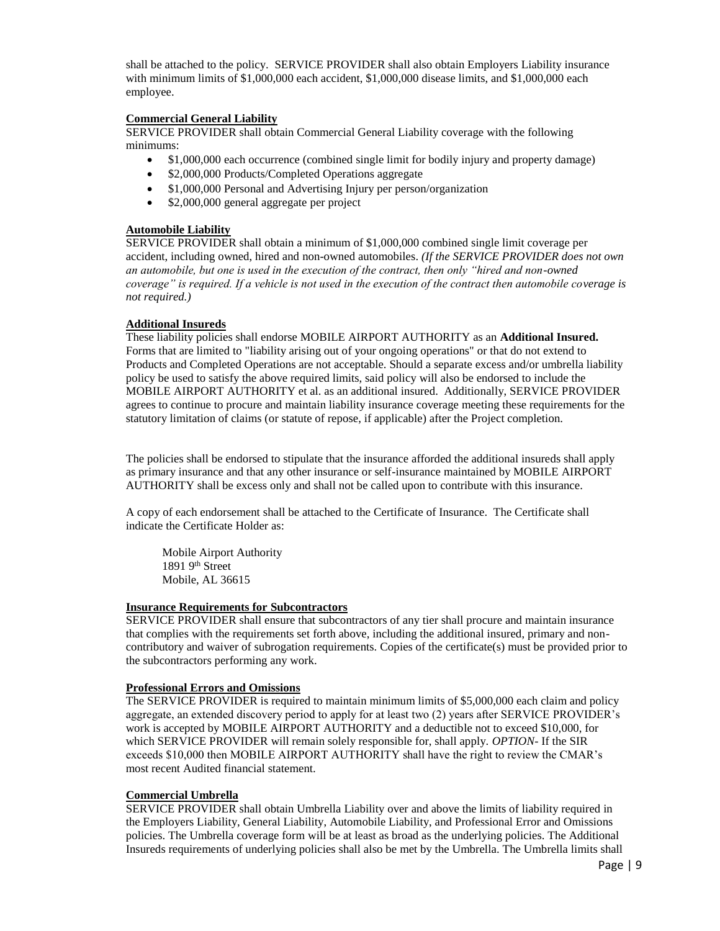shall be attached to the policy. SERVICE PROVIDER shall also obtain Employers Liability insurance with minimum limits of \$1,000,000 each accident, \$1,000,000 disease limits, and \$1,000,000 each employee.

#### **Commercial General Liability**

SERVICE PROVIDER shall obtain Commercial General Liability coverage with the following minimums:

- \$1,000,000 each occurrence (combined single limit for bodily injury and property damage)
- \$2,000,000 Products/Completed Operations aggregate
- \$1,000,000 Personal and Advertising Injury per person/organization
- $\bullet$  \$2,000,000 general aggregate per project

#### **Automobile Liability**

SERVICE PROVIDER shall obtain a minimum of \$1,000,000 combined single limit coverage per accident, including owned, hired and non-owned automobiles. *(If the SERVICE PROVIDER does not own an automobile, but one is used in the execution of the contract, then only "hired and non-owned coverage" is required. If a vehicle is not used in the execution of the contract then automobile coverage is not required.)*

#### **Additional Insureds**

These liability policies shall endorse MOBILE AIRPORT AUTHORITY as an **Additional Insured.**  Forms that are limited to "liability arising out of your ongoing operations" or that do not extend to Products and Completed Operations are not acceptable. Should a separate excess and/or umbrella liability policy be used to satisfy the above required limits, said policy will also be endorsed to include the MOBILE AIRPORT AUTHORITY et al. as an additional insured. Additionally, SERVICE PROVIDER agrees to continue to procure and maintain liability insurance coverage meeting these requirements for the statutory limitation of claims (or statute of repose, if applicable) after the Project completion.

The policies shall be endorsed to stipulate that the insurance afforded the additional insureds shall apply as primary insurance and that any other insurance or self-insurance maintained by MOBILE AIRPORT AUTHORITY shall be excess only and shall not be called upon to contribute with this insurance.

A copy of each endorsement shall be attached to the Certificate of Insurance. The Certificate shall indicate the Certificate Holder as:

Mobile Airport Authority 1891  $9<sup>th</sup>$  Street Mobile, AL 36615

#### **Insurance Requirements for Subcontractors**

SERVICE PROVIDER shall ensure that subcontractors of any tier shall procure and maintain insurance that complies with the requirements set forth above, including the additional insured, primary and noncontributory and waiver of subrogation requirements. Copies of the certificate(s) must be provided prior to the subcontractors performing any work.

#### **Professional Errors and Omissions**

The SERVICE PROVIDER is required to maintain minimum limits of \$5,000,000 each claim and policy aggregate, an extended discovery period to apply for at least two (2) years after SERVICE PROVIDER's work is accepted by MOBILE AIRPORT AUTHORITY and a deductible not to exceed \$10,000, for which SERVICE PROVIDER will remain solely responsible for, shall apply. *OPTION-* If the SIR exceeds \$10,000 then MOBILE AIRPORT AUTHORITY shall have the right to review the CMAR's most recent Audited financial statement.

#### **Commercial Umbrella**

SERVICE PROVIDER shall obtain Umbrella Liability over and above the limits of liability required in the Employers Liability, General Liability, Automobile Liability, and Professional Error and Omissions policies. The Umbrella coverage form will be at least as broad as the underlying policies. The Additional Insureds requirements of underlying policies shall also be met by the Umbrella. The Umbrella limits shall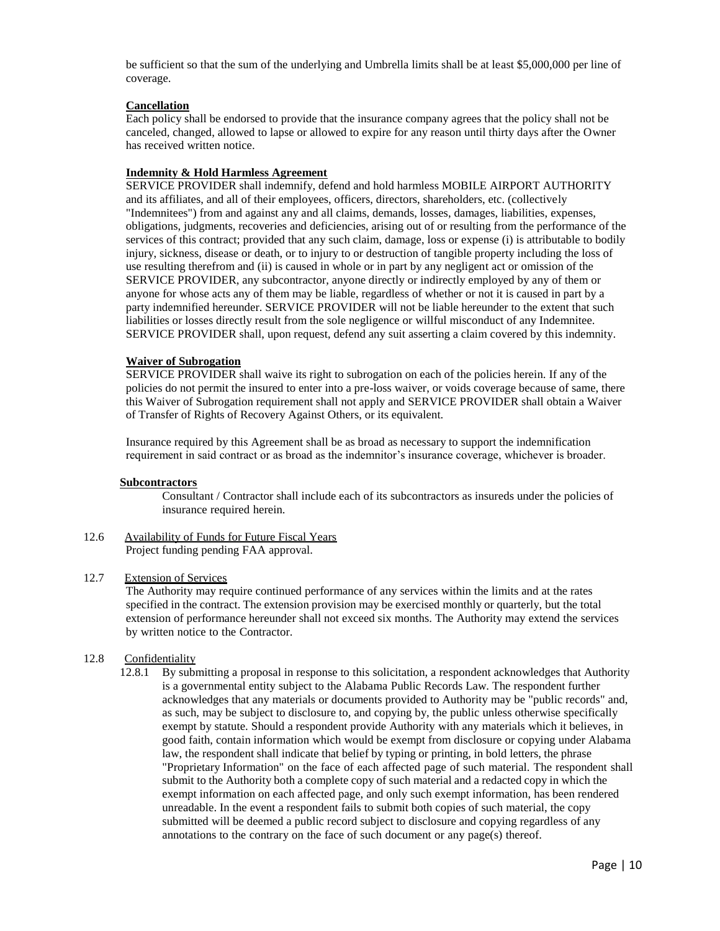be sufficient so that the sum of the underlying and Umbrella limits shall be at least \$5,000,000 per line of coverage.

#### **Cancellation**

Each policy shall be endorsed to provide that the insurance company agrees that the policy shall not be canceled, changed, allowed to lapse or allowed to expire for any reason until thirty days after the Owner has received written notice.

#### **Indemnity & Hold Harmless Agreement**

SERVICE PROVIDER shall indemnify, defend and hold harmless MOBILE AIRPORT AUTHORITY and its affiliates, and all of their employees, officers, directors, shareholders, etc. (collectively "Indemnitees") from and against any and all claims, demands, losses, damages, liabilities, expenses, obligations, judgments, recoveries and deficiencies, arising out of or resulting from the performance of the services of this contract; provided that any such claim, damage, loss or expense (i) is attributable to bodily injury, sickness, disease or death, or to injury to or destruction of tangible property including the loss of use resulting therefrom and (ii) is caused in whole or in part by any negligent act or omission of the SERVICE PROVIDER, any subcontractor, anyone directly or indirectly employed by any of them or anyone for whose acts any of them may be liable, regardless of whether or not it is caused in part by a party indemnified hereunder. SERVICE PROVIDER will not be liable hereunder to the extent that such liabilities or losses directly result from the sole negligence or willful misconduct of any Indemnitee. SERVICE PROVIDER shall, upon request, defend any suit asserting a claim covered by this indemnity.

#### **Waiver of Subrogation**

SERVICE PROVIDER shall waive its right to subrogation on each of the policies herein. If any of the policies do not permit the insured to enter into a pre-loss waiver, or voids coverage because of same, there this Waiver of Subrogation requirement shall not apply and SERVICE PROVIDER shall obtain a Waiver of Transfer of Rights of Recovery Against Others, or its equivalent.

Insurance required by this Agreement shall be as broad as necessary to support the indemnification requirement in said contract or as broad as the indemnitor's insurance coverage, whichever is broader.

#### **Subcontractors**

Consultant / Contractor shall include each of its subcontractors as insureds under the policies of insurance required herein.

#### 12.6 Availability of Funds for Future Fiscal Years Project funding pending FAA approval.

#### 12.7 Extension of Services

The Authority may require continued performance of any services within the limits and at the rates specified in the contract. The extension provision may be exercised monthly or quarterly, but the total extension of performance hereunder shall not exceed six months. The Authority may extend the services by written notice to the Contractor.

#### 12.8 Confidentiality

12.8.1 By submitting a proposal in response to this solicitation, a respondent acknowledges that Authority is a governmental entity subject to the Alabama Public Records Law. The respondent further acknowledges that any materials or documents provided to Authority may be "public records" and, as such, may be subject to disclosure to, and copying by, the public unless otherwise specifically exempt by statute. Should a respondent provide Authority with any materials which it believes, in good faith, contain information which would be exempt from disclosure or copying under Alabama law, the respondent shall indicate that belief by typing or printing, in bold letters, the phrase "Proprietary Information" on the face of each affected page of such material. The respondent shall submit to the Authority both a complete copy of such material and a redacted copy in which the exempt information on each affected page, and only such exempt information, has been rendered unreadable. In the event a respondent fails to submit both copies of such material, the copy submitted will be deemed a public record subject to disclosure and copying regardless of any annotations to the contrary on the face of such document or any page(s) thereof.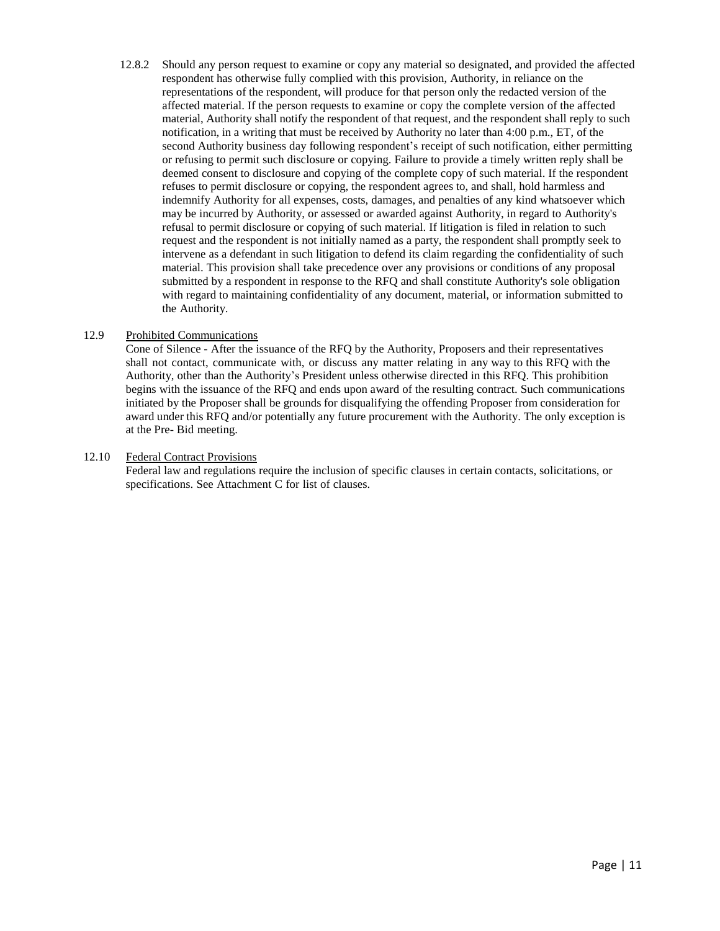12.8.2 Should any person request to examine or copy any material so designated, and provided the affected respondent has otherwise fully complied with this provision, Authority, in reliance on the representations of the respondent, will produce for that person only the redacted version of the affected material. If the person requests to examine or copy the complete version of the affected material, Authority shall notify the respondent of that request, and the respondent shall reply to such notification, in a writing that must be received by Authority no later than 4:00 p.m., ET, of the second Authority business day following respondent's receipt of such notification, either permitting or refusing to permit such disclosure or copying. Failure to provide a timely written reply shall be deemed consent to disclosure and copying of the complete copy of such material. If the respondent refuses to permit disclosure or copying, the respondent agrees to, and shall, hold harmless and indemnify Authority for all expenses, costs, damages, and penalties of any kind whatsoever which may be incurred by Authority, or assessed or awarded against Authority, in regard to Authority's refusal to permit disclosure or copying of such material. If litigation is filed in relation to such request and the respondent is not initially named as a party, the respondent shall promptly seek to intervene as a defendant in such litigation to defend its claim regarding the confidentiality of such material. This provision shall take precedence over any provisions or conditions of any proposal submitted by a respondent in response to the RFQ and shall constitute Authority's sole obligation with regard to maintaining confidentiality of any document, material, or information submitted to the Authority.

#### 12.9 Prohibited Communications

Cone of Silence - After the issuance of the RFQ by the Authority, Proposers and their representatives shall not contact, communicate with, or discuss any matter relating in any way to this RFQ with the Authority, other than the Authority's President unless otherwise directed in this RFQ. This prohibition begins with the issuance of the RFQ and ends upon award of the resulting contract. Such communications initiated by the Proposer shall be grounds for disqualifying the offending Proposer from consideration for award under this RFQ and/or potentially any future procurement with the Authority. The only exception is at the Pre- Bid meeting.

#### 12.10 Federal Contract Provisions

Federal law and regulations require the inclusion of specific clauses in certain contacts, solicitations, or specifications. See Attachment C for list of clauses.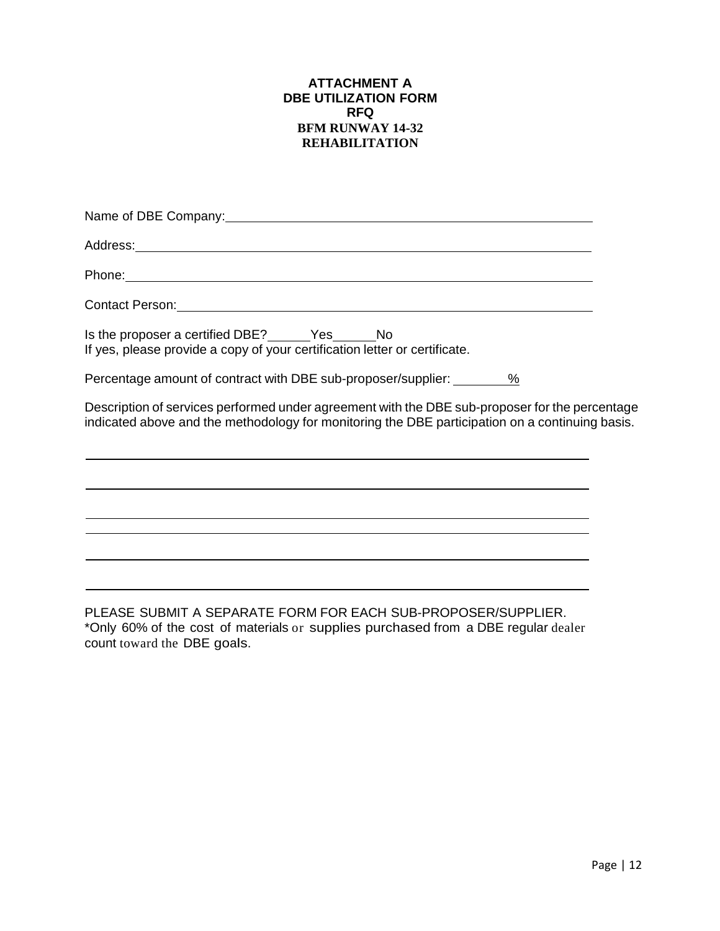#### **ATTACHMENT A DBE UTILIZATION FORM RFQ BFM RUNWAY 14-32 REHABILITATION**

| Is the proposer a certified DBE? ______Yes ______No<br>If yes, please provide a copy of your certification letter or certificate.                                                                 |  |
|---------------------------------------------------------------------------------------------------------------------------------------------------------------------------------------------------|--|
| Percentage amount of contract with DBE sub-proposer/supplier: <u>2003</u>                                                                                                                         |  |
| Description of services performed under agreement with the DBE sub-proposer for the percentage<br>indicated above and the methodology for monitoring the DBE participation on a continuing basis. |  |
|                                                                                                                                                                                                   |  |
|                                                                                                                                                                                                   |  |
|                                                                                                                                                                                                   |  |
|                                                                                                                                                                                                   |  |
|                                                                                                                                                                                                   |  |

PLEASE SUBMIT A SEPARATE FORM FOR EACH SUB-PROPOSER/SUPPLIER. \*Only 60% of the cost of materials or supplies purchased from a DBE regular dealer count toward the DBE goals.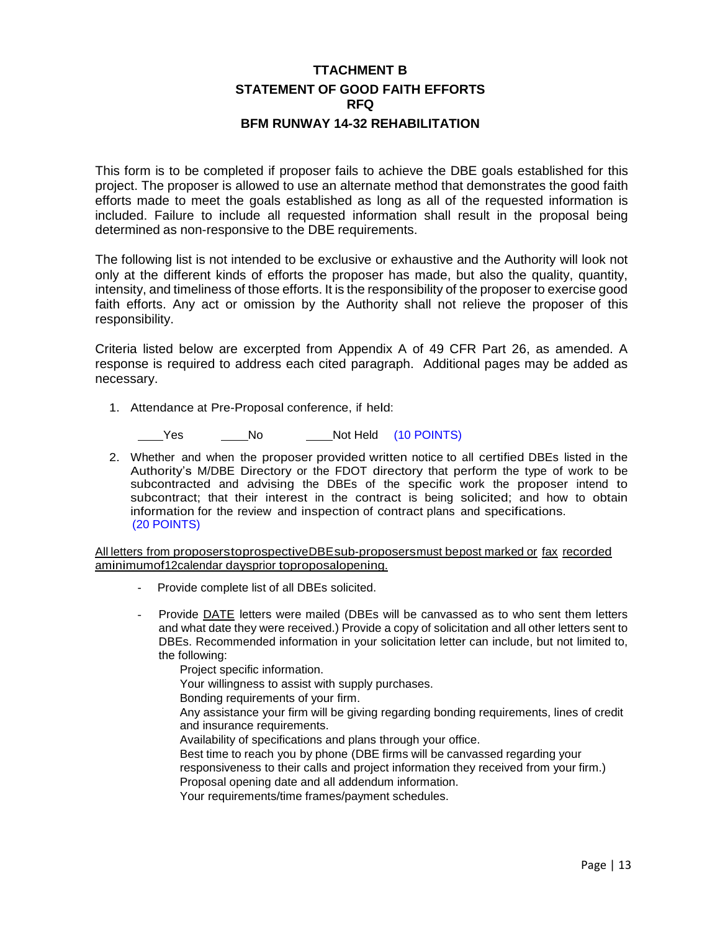### **TTACHMENT B STATEMENT OF GOOD FAITH EFFORTS RFQ BFM RUNWAY 14-32 REHABILITATION**

This form is to be completed if proposer fails to achieve the DBE goals established for this project. The proposer is allowed to use an alternate method that demonstrates the good faith efforts made to meet the goals established as long as all of the requested information is included. Failure to include all requested information shall result in the proposal being determined as non-responsive to the DBE requirements.

The following list is not intended to be exclusive or exhaustive and the Authority will look not only at the different kinds of efforts the proposer has made, but also the quality, quantity, intensity, and timeliness of those efforts. It is the responsibility of the proposer to exercise good faith efforts. Any act or omission by the Authority shall not relieve the proposer of this responsibility.

Criteria listed below are excerpted from Appendix A of 49 CFR Part 26, as amended. A response is required to address each cited paragraph. Additional pages may be added as necessary.

1. Attendance at Pre-Proposal conference, if held:

Yes No Not Held (10 POINTS)

2. Whether and when the proposer provided written notice to all certified DBEs listed in the Authority's M/DBE Directory or the FDOT directory that perform the type of work to be subcontracted and advising the DBEs of the specific work the proposer intend to subcontract; that their interest in the contract is being solicited; and how to obtain information for the review and inspection of contract plans and specifications. (20 POINTS)

All letters from proposerstoprospectiveDBEsub-proposersmust bepost marked or fax recorded aminimumof12calendar daysprior toproposalopening.

- Provide complete list of all DBEs solicited.
- Provide **DATE** letters were mailed (DBEs will be canvassed as to who sent them letters and what date they were received.) Provide a copy of solicitation and all other letters sent to DBEs. Recommended information in your solicitation letter can include, but not limited to, the following:

Project specific information.

Your willingness to assist with supply purchases.

Bonding requirements of your firm.

Any assistance your firm will be giving regarding bonding requirements, lines of credit and insurance requirements.

Availability of specifications and plans through your office.

Best time to reach you by phone (DBE firms will be canvassed regarding your responsiveness to their calls and project information they received from your firm.)

Proposal opening date and all addendum information.

Your requirements/time frames/payment schedules.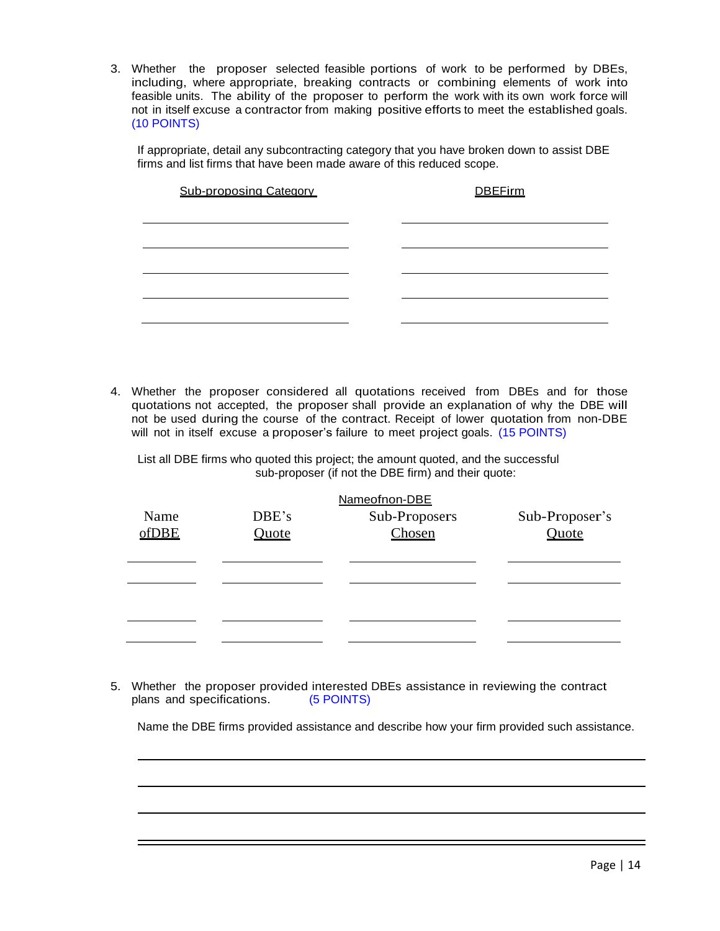3. Whether the proposer selected feasible portions of work to be performed by DBEs, including, where appropriate, breaking contracts or combining elements of work into feasible units. The ability of the proposer to perform the work with its own work force will not in itself excuse a contractor from making positive efforts to meet the established goals. (10 POINTS)

| If appropriate, detail any subcontracting category that you have broken down to assist DBE |
|--------------------------------------------------------------------------------------------|
| firms and list firms that have been made aware of this reduced scope.                      |

| <b>Sub-proposing Category</b> | <b>DBEFirm</b> |
|-------------------------------|----------------|
|                               |                |
|                               |                |
|                               |                |
|                               |                |
|                               |                |
|                               |                |

4. Whether the proposer considered all quotations received from DBEs and for those quotations not accepted, the proposer shall provide an explanation of why the DBE will not be used during the course of the contract. Receipt of lower quotation from non-DBE will not in itself excuse a proposer's failure to meet project goals. (15 POINTS)

List all DBE firms who quoted this project; the amount quoted, and the successful sub-proposer (if not the DBE firm) and their quote:

|       |       | Nameofnon-DBE |                |
|-------|-------|---------------|----------------|
| Name  | DBE's | Sub-Proposers | Sub-Proposer's |
| ofDBE | Ouote | Chosen        | <b>Ouote</b>   |
|       |       |               |                |
|       |       |               |                |
|       |       |               |                |
|       |       |               |                |
|       |       |               |                |
|       |       |               |                |

5. Whether the proposer provided interested DBEs assistance in reviewing the contract plans and specifications. (5 POINTS)

Name the DBE firms provided assistance and describe how your firm provided such assistance.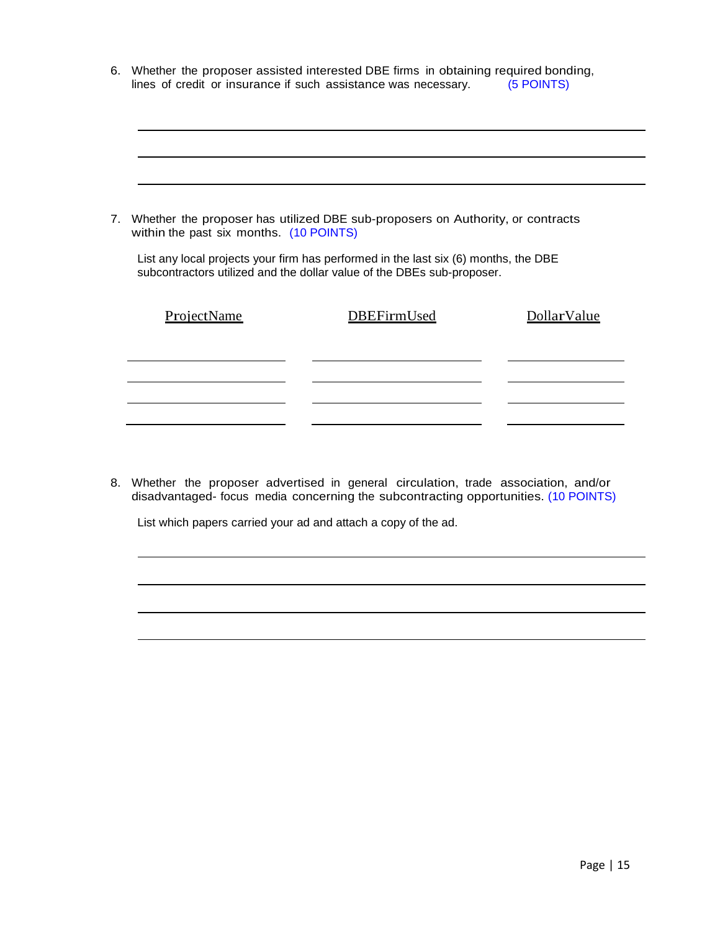| 6. Whether the proposer assisted interested DBE firms in obtaining required bonding, |            |
|--------------------------------------------------------------------------------------|------------|
| lines of credit or insurance if such assistance was necessary.                       | (5 POINTS) |

| Whether the proposer has utilized DBE sub-proposers on Authority, or contracts<br>within the past six months. (10 POINTS)                                     |             |             |             |
|---------------------------------------------------------------------------------------------------------------------------------------------------------------|-------------|-------------|-------------|
| List any local projects your firm has performed in the last six (6) months, the DBE<br>subcontractors utilized and the dollar value of the DBEs sub-proposer. |             |             |             |
|                                                                                                                                                               |             |             |             |
|                                                                                                                                                               | ProjectName | DBEFirmUsed | DollarValue |
|                                                                                                                                                               |             |             |             |

8. Whether the proposer advertised in general circulation, trade association, and/or disadvantaged- focus media concerning the subcontracting opportunities. (10 POINTS)

List which papers carried your ad and attach a copy of the ad.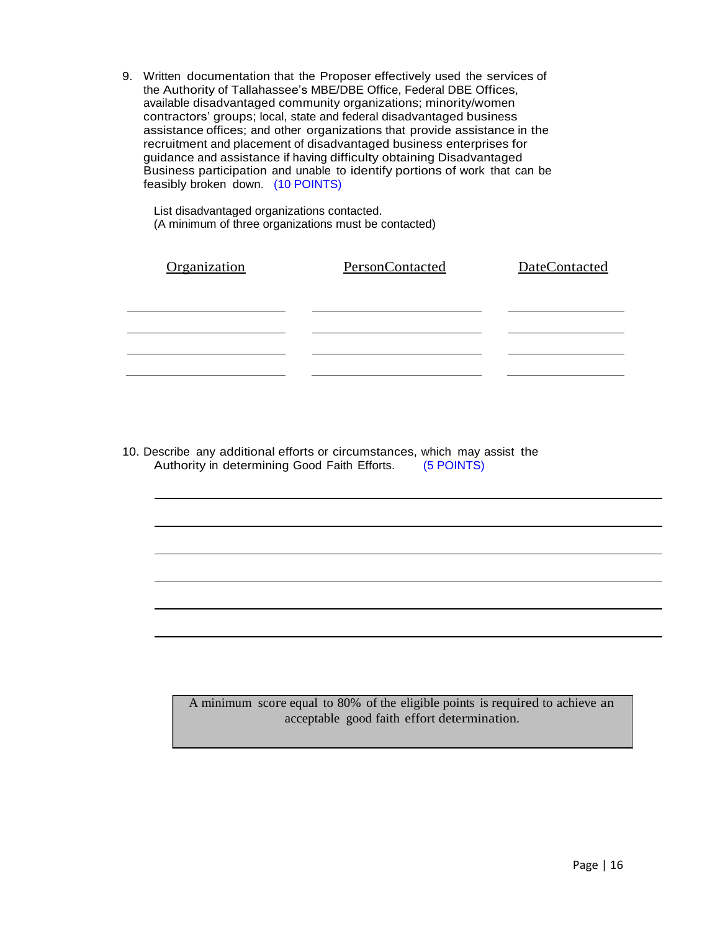9. Written documentation that the Proposer effectively used the services of the Authority of Tallahassee's MBE/DBE Office, Federal DBE Offices, available disadvantaged community organizations; minority/women contractors' groups; local, state and federal disadvantaged business assistance offices; and other organizations that provide assistance in the recruitment and placement of disadvantaged business enterprises for guidance and assistance if having difficulty obtaining Disadvantaged Business participation and unable to identify portions of work that can be feasibly broken down. (10 POINTS)

List disadvantaged organizations contacted. (A minimum of three organizations must be contacted)

| Organization | PersonContacted | DateContacted |
|--------------|-----------------|---------------|
|              |                 |               |
|              |                 |               |
|              |                 |               |

10. Describe any additional efforts or circumstances, which may assist the Authority in determining Good Faith Efforts. (5 POINTS)

> A minimum score equal to 80% of the eligible points is required to achieve an acceptable good faith effort determination.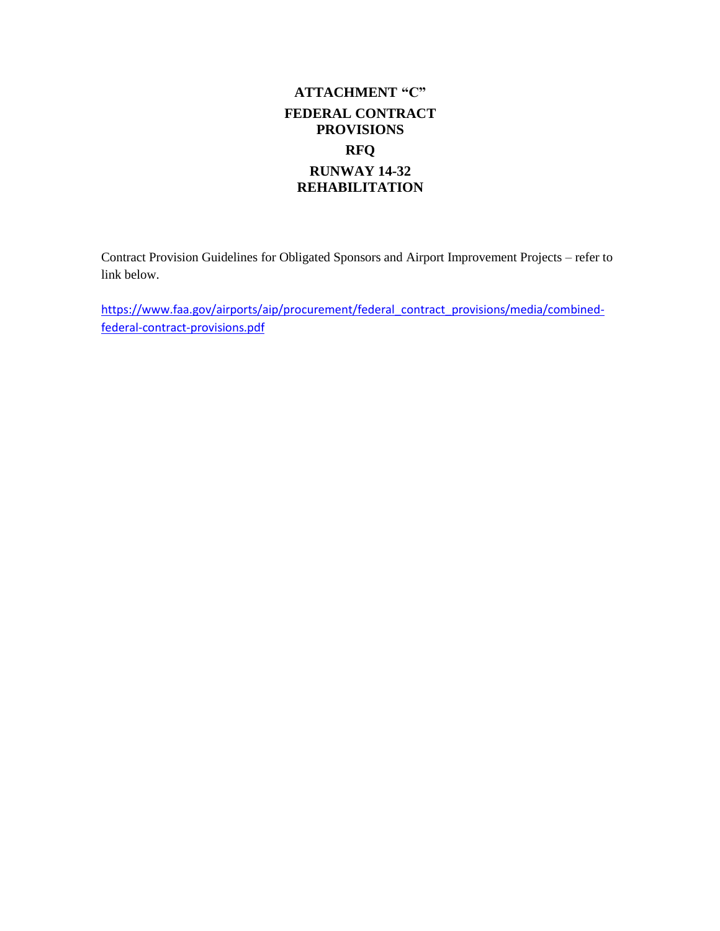### **ATTACHMENT "C" FEDERAL CONTRACT PROVISIONS RFQ RUNWAY 14-32 REHABILITATION**

Contract Provision Guidelines for Obligated Sponsors and Airport Improvement Projects – refer to link below.

[https://www.faa.gov/airports/aip/procurement/federal\\_contract\\_provisions/media/combined](https://www.faa.gov/airports/aip/procurement/federal_contract_provisions/media/combined-federal-contract-provisions.pdf)[federal-contract-provisions.pdf](https://www.faa.gov/airports/aip/procurement/federal_contract_provisions/media/combined-federal-contract-provisions.pdf)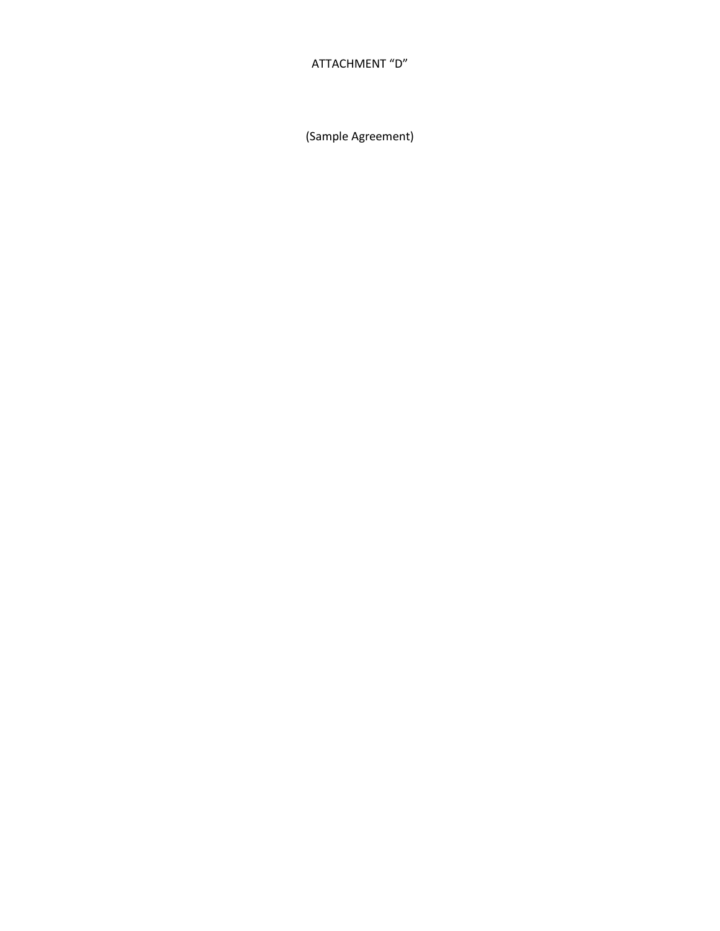ATTACHMENT "D"

(Sample Agreement)